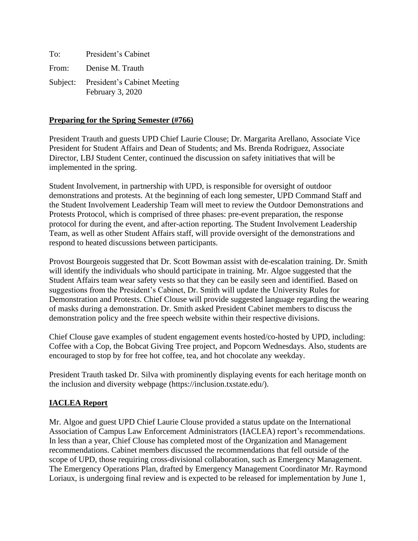| To:   | President's Cabinet                                      |
|-------|----------------------------------------------------------|
| From: | Denise M. Trauth                                         |
|       | Subject: President's Cabinet Meeting<br>February 3, 2020 |

#### **Preparing for the Spring Semester (#766)**

President Trauth and guests UPD Chief Laurie Clouse; Dr. Margarita Arellano, Associate Vice President for Student Affairs and Dean of Students; and Ms. Brenda Rodriguez, Associate Director, LBJ Student Center, continued the discussion on safety initiatives that will be implemented in the spring.

Student Involvement, in partnership with UPD, is responsible for oversight of outdoor demonstrations and protests. At the beginning of each long semester, UPD Command Staff and the Student Involvement Leadership Team will meet to review the Outdoor Demonstrations and Protests Protocol, which is comprised of three phases: pre-event preparation, the response protocol for during the event, and after-action reporting. The Student Involvement Leadership Team, as well as other Student Affairs staff, will provide oversight of the demonstrations and respond to heated discussions between participants.

Provost Bourgeois suggested that Dr. Scott Bowman assist with de-escalation training. Dr. Smith will identify the individuals who should participate in training. Mr. Algoe suggested that the Student Affairs team wear safety vests so that they can be easily seen and identified. Based on suggestions from the President's Cabinet, Dr. Smith will update the University Rules for Demonstration and Protests. Chief Clouse will provide suggested language regarding the wearing of masks during a demonstration. Dr. Smith asked President Cabinet members to discuss the demonstration policy and the free speech website within their respective divisions.

Chief Clouse gave examples of student engagement events hosted/co-hosted by UPD, including: Coffee with a Cop, the Bobcat Giving Tree project, and Popcorn Wednesdays. Also, students are encouraged to stop by for free hot coffee, tea, and hot chocolate any weekday.

President Trauth tasked Dr. Silva with prominently displaying events for each heritage month on the inclusion and diversity webpage (https://inclusion.txstate.edu/).

### **IACLEA Report**

Mr. Algoe and guest UPD Chief Laurie Clouse provided a status update on the International Association of Campus Law Enforcement Administrators (IACLEA) report's recommendations. In less than a year, Chief Clouse has completed most of the Organization and Management recommendations. Cabinet members discussed the recommendations that fell outside of the scope of UPD, those requiring cross-divisional collaboration, such as Emergency Management. The Emergency Operations Plan, drafted by Emergency Management Coordinator Mr. Raymond Loriaux, is undergoing final review and is expected to be released for implementation by June 1,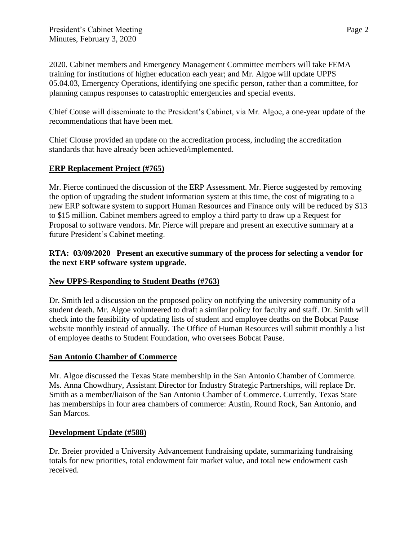2020. Cabinet members and Emergency Management Committee members will take FEMA training for institutions of higher education each year; and Mr. Algoe will update UPPS 05.04.03, Emergency Operations, identifying one specific person, rather than a committee, for planning campus responses to catastrophic emergencies and special events.

Chief Couse will disseminate to the President's Cabinet, via Mr. Algoe, a one-year update of the recommendations that have been met.

Chief Clouse provided an update on the accreditation process, including the accreditation standards that have already been achieved/implemented.

# **ERP Replacement Project (#765)**

Mr. Pierce continued the discussion of the ERP Assessment. Mr. Pierce suggested by removing the option of upgrading the student information system at this time, the cost of migrating to a new ERP software system to support Human Resources and Finance only will be reduced by \$13 to \$15 million. Cabinet members agreed to employ a third party to draw up a Request for Proposal to software vendors. Mr. Pierce will prepare and present an executive summary at a future President's Cabinet meeting.

### **RTA: 03/09/2020 Present an executive summary of the process for selecting a vendor for the next ERP software system upgrade.**

### **New UPPS-Responding to Student Deaths (#763)**

Dr. Smith led a discussion on the proposed policy on notifying the university community of a student death. Mr. Algoe volunteered to draft a similar policy for faculty and staff. Dr. Smith will check into the feasibility of updating lists of student and employee deaths on the Bobcat Pause website monthly instead of annually. The Office of Human Resources will submit monthly a list of employee deaths to Student Foundation, who oversees Bobcat Pause.

### **San Antonio Chamber of Commerce**

Mr. Algoe discussed the Texas State membership in the San Antonio Chamber of Commerce. Ms. Anna Chowdhury, Assistant Director for Industry Strategic Partnerships, will replace Dr. Smith as a member/liaison of the San Antonio Chamber of Commerce. Currently, Texas State has memberships in four area chambers of commerce: Austin, Round Rock, San Antonio, and San Marcos.

### **Development Update (#588)**

Dr. Breier provided a University Advancement fundraising update, summarizing fundraising totals for new priorities, total endowment fair market value, and total new endowment cash received.